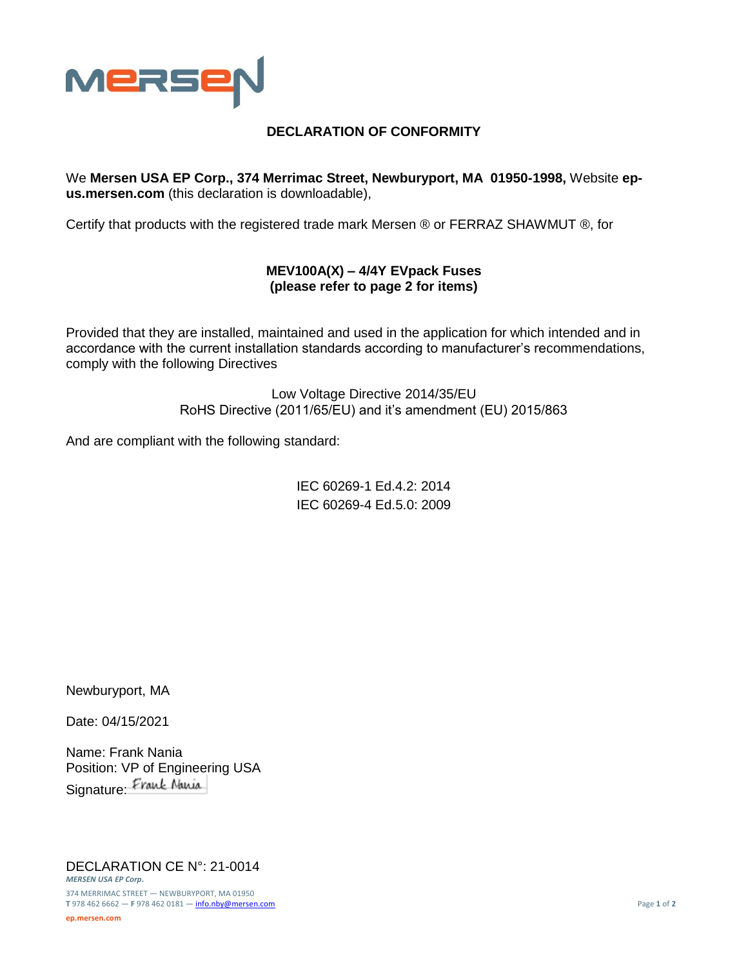

## **DECLARATION OF CONFORMITY**

We **Mersen USA EP Corp., 374 Merrimac Street, Newburyport, MA 01950-1998,** Website **epus.mersen.com** (this declaration is downloadable),

Certify that products with the registered trade mark Mersen ® or FERRAZ SHAWMUT ®, for

## **MEV100A(X) – 4/4Y EVpack Fuses (please refer to page 2 for items)**

Provided that they are installed, maintained and used in the application for which intended and in accordance with the current installation standards according to manufacturer's recommendations, comply with the following Directives

> Low Voltage Directive 2014/35/EU RoHS Directive (2011/65/EU) and it's amendment (EU) 2015/863

And are compliant with the following standard:

IEC 60269-1 Ed.4.2: 2014 IEC 60269-4 Ed.5.0: 2009

Newburyport, MA

Date: 04/15/2021

Name: Frank Nania Position: VP of Engineering USA Signature: Frank Nania